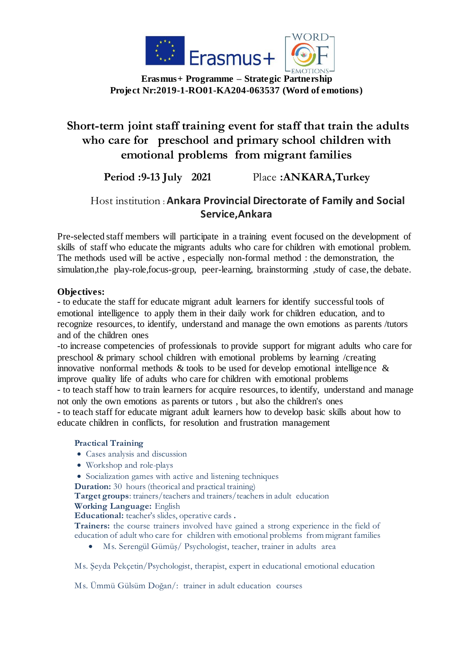

**Erasmus+ Programme – Strategic Partnership Project Nr:2019-1-RO01-KA204-063537 (Word of emotions)**

# **Short-term joint staff training event for staff that train the adults who care for preschool and primary school children with emotional problems from migrant families**

**Period :9-13 July 2021** Place **:ANKARA,Turkey**

## Host institution : **Ankara Provincial Directorate of Family and Social Service,Ankara**

Pre-selected staff members will participate in a training event focused on the development of skills of staff who educate the migrants adults who care for children with emotional problem. The methods used will be active , especially non-formal method : the demonstration, the simulation,the play-role,focus-group, peer-learning, brainstorming ,study of case, the debate.

### **Objectives:**

- to educate the staff for educate migrant adult learners for identify successful tools of emotional intelligence to apply them in their daily work for children education, and to recognize resources, to identify, understand and manage the own emotions as parents /tutors and of the children ones

-to increase competencies of professionals to provide support for migrant adults who care for preschool & primary school children with emotional problems by learning /creating innovative nonformal methods & tools to be used for develop emotional intelligence & improve quality life of adults who care for children with emotional problems

- to teach staff how to train learners for acquire resources, to identify, understand and manage not only the own emotions as parents or tutors , but also the children's ones

- to teach staff for educate migrant adult learners how to develop basic skills about how to educate children in conflicts, for resolution and frustration management

### **Practical Training**

- Cases analysis and discussion
- Workshop and role-plays

Socialization games with active and listening techniques

**Duration:** 30 hours (theorical and practical training)

**Target groups**: trainers/teachers and trainers/teachers in adult education **Working Language:** English

**Educational:** teacher's slides, operative cards **.**

**Trainers:** the course trainers involved have gained a strong experience in the field of education of adult who care for children with emotional problems from migrant families

Ms. Serengül Gümüş/ Psychologist, teacher, trainer in adults area

Ms. Şeyda Pekçetin/Psychologist, therapist, expert in educational emotional education

Ms. Ümmü Gülsüm Doğan/: trainer in adult education courses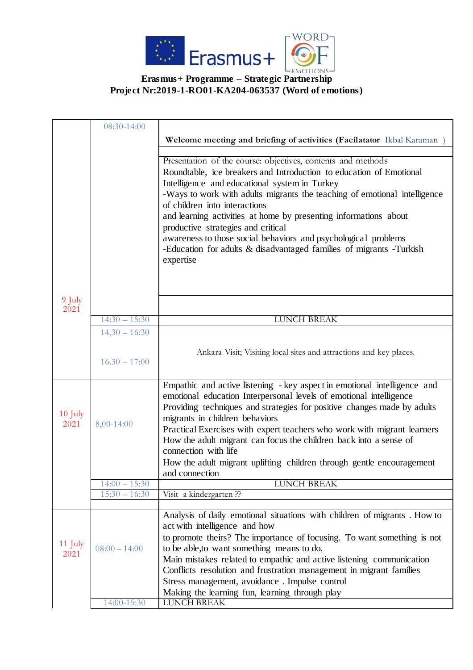

#### **Erasmus+ Programme – Strategic Partnership Project Nr:2019-1-RO01-KA204-063537 (Word of emotions)**

|           | 08:30-14:00     |                                                                           |
|-----------|-----------------|---------------------------------------------------------------------------|
|           |                 | Welcome meeting and briefing of activities (Facilatator Ikbal Karaman)    |
|           |                 |                                                                           |
|           |                 | Presentation of the course: objectives, contents and methods              |
|           |                 | Roundtable, ice breakers and Introduction to education of Emotional       |
|           |                 | Intelligence and educational system in Turkey                             |
|           |                 | -Ways to work with adults migrants the teaching of emotional intelligence |
|           |                 | of children into interactions                                             |
|           |                 | and learning activities at home by presenting informations about          |
|           |                 | productive strategies and critical                                        |
|           |                 | awareness to those social behaviors and psychological problems            |
|           |                 | -Education for adults & disadvantaged families of migrants -Turkish       |
|           |                 | expertise                                                                 |
|           |                 |                                                                           |
|           |                 |                                                                           |
|           |                 |                                                                           |
| 9 July    |                 |                                                                           |
| 2021      | $14:30 - 15:30$ | <b>LUNCH BREAK</b>                                                        |
|           |                 |                                                                           |
|           | $14,30 - 16:30$ |                                                                           |
|           |                 | Ankara Visit; Visiting local sites and attractions and key places.        |
|           | $16.30 - 17:00$ |                                                                           |
|           |                 |                                                                           |
|           |                 | Empathic and active listening - key aspect in emotional intelligence and  |
|           |                 | emotional education Interpersonal levels of emotional intelligence        |
|           |                 | Providing techniques and strategies for positive changes made by adults   |
| $10$ July |                 | migrants in children behaviors                                            |
| 2021      | 8,00-14:00      | Practical Exercises with expert teachers who work with migrant learners   |
|           |                 | How the adult migrant can focus the children back into a sense of         |
|           |                 | connection with life                                                      |
|           |                 | How the adult migrant uplifting children through gentle encouragement     |
|           |                 | and connection                                                            |
|           | $14:00 - 15:30$ | <b>LUNCH BREAK</b>                                                        |
|           | $15:30 - 16:30$ | Visit a kindergarten??                                                    |
|           |                 |                                                                           |
|           |                 | Analysis of daily emotional situations with children of migrants. How to  |
|           |                 | act with intelligence and how                                             |
| 11 July   |                 | to promote theirs? The importance of focusing. To want something is not   |
| 2021      | $08:00 - 14:00$ | to be able, to want something means to do.                                |
|           |                 | Main mistakes related to empathic and active listening communication      |
|           |                 | Conflicts resolution and frustration management in migrant families       |
|           |                 | Stress management, avoidance. Impulse control                             |
|           |                 | Making the learning fun, learning through play                            |
|           | 14:00-15:30     | <b>LUNCH BREAK</b>                                                        |